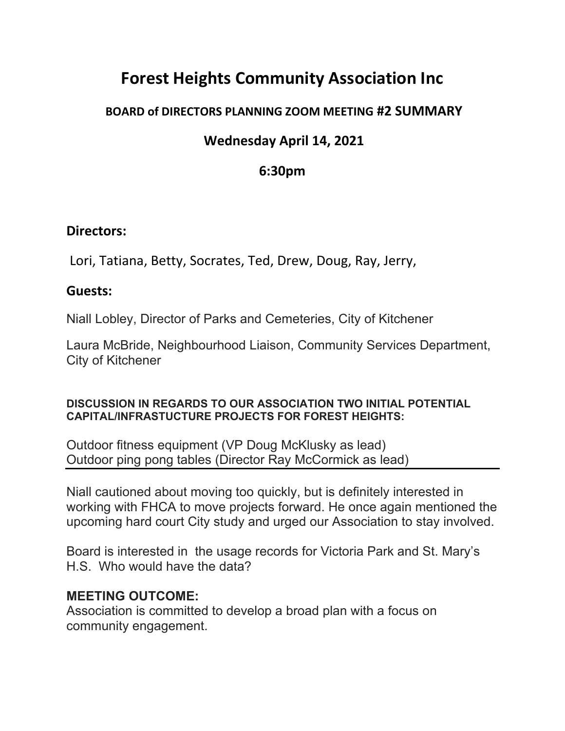# **Forest Heights Community Association Inc**

### **BOARD of DIRECTORS PLANNING ZOOM MEETING #2 SUMMARY**

## **Wednesday April 14, 2021**

## **6:30pm**

#### **Directors:**

Lori, Tatiana, Betty, Socrates, Ted, Drew, Doug, Ray, Jerry,

#### **Guests:**

Niall Lobley, Director of Parks and Cemeteries, City of Kitchener

Laura McBride, Neighbourhood Liaison, Community Services Department, City of Kitchener

#### **DISCUSSION IN REGARDS TO OUR ASSOCIATION TWO INITIAL POTENTIAL CAPITAL/INFRASTUCTURE PROJECTS FOR FOREST HEIGHTS:**

Outdoor fitness equipment (VP Doug McKlusky as lead) Outdoor ping pong tables (Director Ray McCormick as lead)

Niall cautioned about moving too quickly, but is definitely interested in working with FHCA to move projects forward. He once again mentioned the upcoming hard court City study and urged our Association to stay involved.

Board is interested in the usage records for Victoria Park and St. Mary's H.S. Who would have the data?

#### **MEETING OUTCOME:**

Association is committed to develop a broad plan with a focus on community engagement.